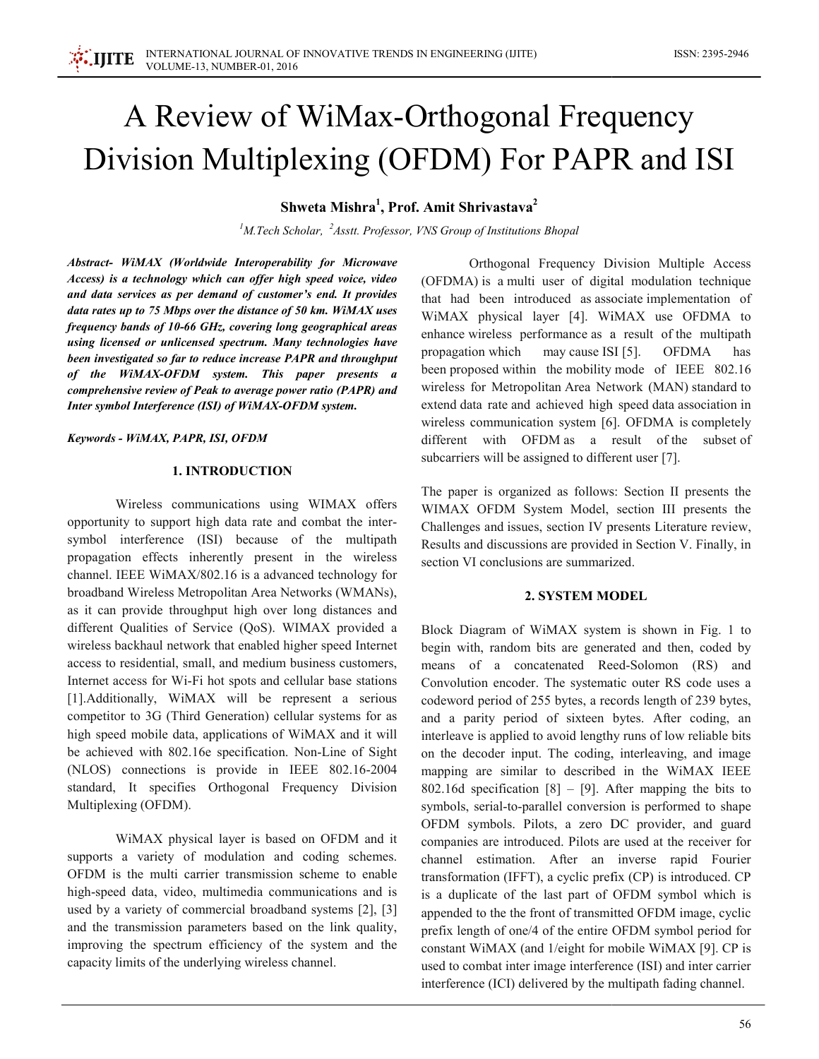# A Review of WiMax-Orthogonal Frequency Division Multiplexing (OFDM) For PAPR and ISI

Shweta Mishra<sup>1</sup>, Prof. Amit Shrivastava<sup>2</sup>

<sup>1</sup>M.Tech Scholar,  ${}^{2}$ Asstt. Professor, VNS Group of Institutions Bhopal

Abstract- WiMAX (Worldwide Interoperability for Microwave Access) is a technology which can offer high speed voice, video and data services as per demand of customer's end. It provides data rates up to 75 Mbps over the distance of 50 km. WiMAX uses frequency bands of 10-66 GHz, covering long geographical areas using licensed or unlicensed spectrum. Many technologies have been investigated so far to reduce increase PAPR and throughput of the WiMAX-OFDM system. This paper presents a comprehensive review of Peak to average power ratio (PAPR) and Inter symbol Interference (ISI) of WiMAX-OFDM system.

Keywords - WiMAX, PAPR, ISI, OFDM

## **1. INTRODUCTION**

Wireless communications using WIMAX offers opportunity to support high data rate and combat the intersymbol interference (ISI) because of the multipath propagation effects inherently present in the wireless channel. IEEE WiMAX/802.16 is a advanced technology for broadband Wireless Metropolitan Area Networks (WMANs). as it can provide throughput high over long distances and different Qualities of Service (QoS). WIMAX provided a wireless backhaul network that enabled higher speed Internet access to residential, small, and medium business customers, Internet access for Wi-Fi hot spots and cellular base stations [1]. Additionally, WiMAX will be represent a serious competitor to 3G (Third Generation) cellular systems for as high speed mobile data, applications of WiMAX and it will be achieved with 802.16e specification. Non-Line of Sight (NLOS) connections is provide in IEEE 802.16-2004 standard, It specifies Orthogonal Frequency Division Multiplexing (OFDM).

WiMAX physical layer is based on OFDM and it supports a variety of modulation and coding schemes. OFDM is the multi carrier transmission scheme to enable high-speed data, video, multimedia communications and is used by a variety of commercial broadband systems [2], [3] and the transmission parameters based on the link quality, improving the spectrum efficiency of the system and the capacity limits of the underlying wireless channel.

Orthogonal Frequency Division Multiple Access (OFDMA) is a multi user of digital modulation technique that had been introduced as associate implementation of WiMAX physical layer [4]. WiMAX use OFDMA to enhance wireless performance as a result of the multipath propagation which may cause ISI [5]. **OFDMA** has been proposed within the mobility mode of IEEE 802.16 wireless for Metropolitan Area Network (MAN) standard to extend data rate and achieved high speed data association in wireless communication system [6]. OFDMA is completely different with OFDM as a result of the subset of subcarriers will be assigned to different user [7].

The paper is organized as follows: Section II presents the WIMAX OFDM System Model, section III presents the Challenges and issues, section IV presents Literature review, Results and discussions are provided in Section V. Finally, in section VI conclusions are summarized

#### **2. SYSTEM MODEL**

Block Diagram of WiMAX system is shown in Fig. 1 to begin with, random bits are generated and then, coded by means of a concatenated Reed-Solomon (RS) and Convolution encoder. The systematic outer RS code uses a codeword period of 255 bytes, a records length of 239 bytes, and a parity period of sixteen bytes. After coding, an interleave is applied to avoid lengthy runs of low reliable bits on the decoder input. The coding, interleaving, and image mapping are similar to described in the WiMAX IEEE 802.16d specification [8]  $-$  [9]. After mapping the bits to symbols, serial-to-parallel conversion is performed to shape OFDM symbols. Pilots, a zero DC provider, and guard companies are introduced. Pilots are used at the receiver for channel estimation. After an inverse rapid Fourier transformation (IFFT), a cyclic prefix (CP) is introduced. CP is a duplicate of the last part of OFDM symbol which is appended to the the front of transmitted OFDM image, cyclic prefix length of one/4 of the entire OFDM symbol period for constant WiMAX (and 1/eight for mobile WiMAX [9]. CP is used to combat inter image interference (ISI) and inter carrier interference (ICI) delivered by the multipath fading channel.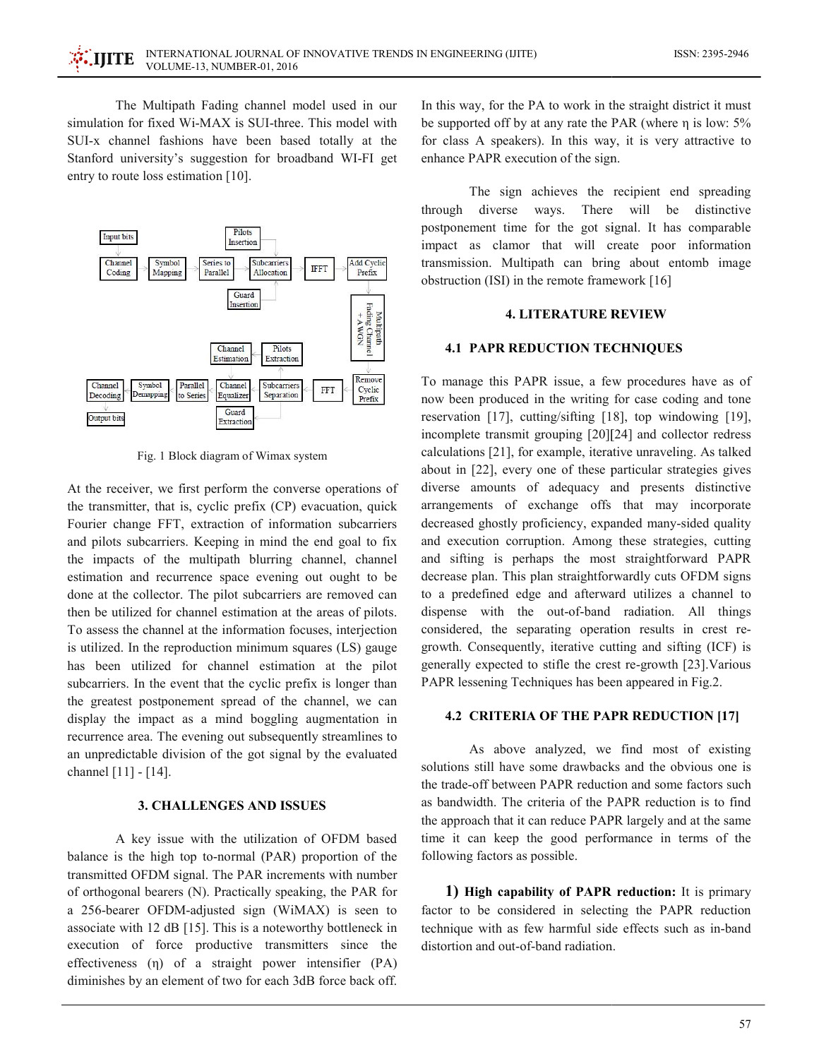The Multipath Fading channel model used in our simulation for fixed Wi-MAX is SUI-three. This model with SUI-x channel fashions have been based totally at the Stanford university's suggestion for broadband WI-FI get entry to route loss estimation [10].



Fig. 1 Block diagram of Wimax system

At the receiver, we first perform the converse operations of the transmitter, that is, cyclic prefix (CP) evacuation, quick Fourier change FFT, extraction of information subcarriers and pilots subcarriers. Keeping in mind the end goal to fix the impacts of the multipath blurring channel, channel estimation and recurrence space evening out ought to be done at the collector. The pilot subcarriers are removed can then be utilized for channel estimation at the areas of pilots. To assess the channel at the information focuses, interjection is utilized. In the reproduction minimum squares (LS) gauge has been utilized for channel estimation at the pilot subcarriers. In the event that the cyclic prefix is longer than the greatest postponement spread of the channel, we can display the impact as a mind boggling augmentation in recurrence area. The evening out subsequently streamlines to an unpredictable division of the got signal by the evaluated channel [11] - [14].

## **3. CHALLENGES AND ISSUES**

A key issue with the utilization of OFDM based balance is the high top to-normal (PAR) proportion of the transmitted OFDM signal. The PAR increments with number of orthogonal bearers (N). Practically speaking, the PAR for a 256-bearer OFDM-adjusted sign (WiMAX) is seen to associate with 12 dB [15]. This is a noteworthy bottleneck in execution of force productive transmitters since the effectiveness  $(\eta)$  of a straight power intensifier  $(PA)$ diminishes by an element of two for each 3dB force back off. In this way, for the PA to work in the straight district it must be supported off by at any rate the PAR (where  $\eta$  is low: 5% for class A speakers). In this way, it is very attractive to enhance PAPR execution of the sign.

The sign achieves the recipient end spreading through diverse ways. There will be distinctive postponement time for the got signal. It has comparable impact as clamor that will create poor information transmission. Multipath can bring about entomb image obstruction (ISI) in the remote framework [16]

## **4. LITERATURE REVIEW**

#### **4.1 PAPR REDUCTION TECHNIQUES**

To manage this PAPR issue, a few procedures have as of now been produced in the writing for case coding and tone reservation [17], cutting/sifting [18], top windowing [19], incomplete transmit grouping [20][24] and collector redress calculations [21], for example, iterative unraveling. As talked about in [22], every one of these particular strategies gives diverse amounts of adequacy and presents distinctive arrangements of exchange offs that may incorporate decreased ghostly proficiency, expanded many-sided quality and execution corruption. Among these strategies, cutting and sifting is perhaps the most straightforward PAPR decrease plan. This plan straightforwardly cuts OFDM signs to a predefined edge and afterward utilizes a channel to dispense with the out-of-band radiation. All things considered, the separating operation results in crest regrowth. Consequently, iterative cutting and sifting (ICF) is generally expected to stifle the crest re-growth [23]. Various PAPR lessening Techniques has been appeared in Fig.2.

#### 4.2 CRITERIA OF THE PAPR REDUCTION [17]

As above analyzed, we find most of existing solutions still have some drawbacks and the obvious one is the trade-off between PAPR reduction and some factors such as bandwidth. The criteria of the PAPR reduction is to find the approach that it can reduce PAPR largely and at the same time it can keep the good performance in terms of the following factors as possible.

1) High capability of PAPR reduction: It is primary factor to be considered in selecting the PAPR reduction technique with as few harmful side effects such as in-band distortion and out-of-band radiation.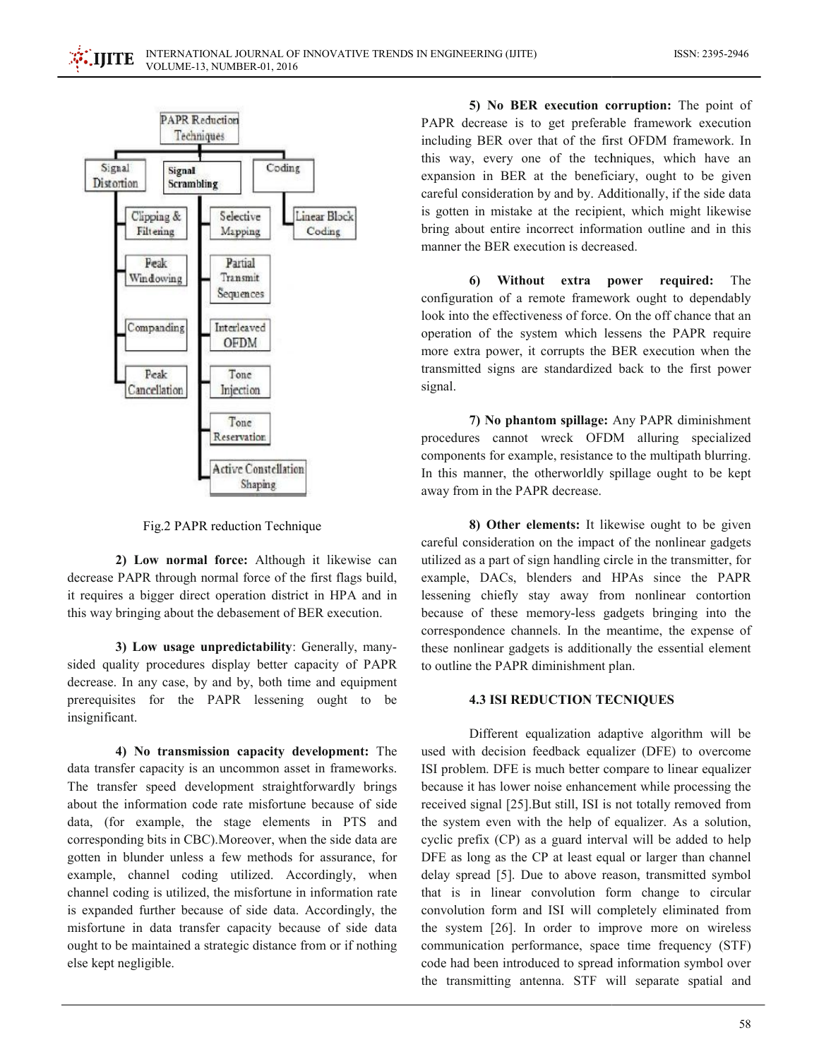

Fig.2 PAPR reduction Technique

2) Low normal force: Although it likewise can decrease PAPR through normal force of the first flags build, it requires a bigger direct operation district in HPA and in this way bringing about the debasement of BER execution.

3) Low usage unpredictability: Generally, manysided quality procedures display better capacity of PAPR decrease. In any case, by and by, both time and equipment prerequisites for the PAPR lessening ought to be insignificant.

4) No transmission capacity development: The data transfer capacity is an uncommon asset in frameworks. The transfer speed development straightforwardly brings about the information code rate misfortune because of side data, (for example, the stage elements in PTS and corresponding bits in CBC). Moreover, when the side data are gotten in blunder unless a few methods for assurance, for example, channel coding utilized. Accordingly, when channel coding is utilized, the misfortune in information rate is expanded further because of side data. Accordingly, the misfortune in data transfer capacity because of side data ought to be maintained a strategic distance from or if nothing else kept negligible.

5) No BER execution corruption: The point of PAPR decrease is to get preferable framework execution including BER over that of the first OFDM framework. In this way, every one of the techniques, which have an expansion in BER at the beneficiary, ought to be given careful consideration by and by. Additionally, if the side data is gotten in mistake at the recipient, which might likewise bring about entire incorrect information outline and in this manner the BER execution is decreased.

6 Without extra power required: The configuration of a remote framework ought to dependably look into the effectiveness of force. On the off chance that an operation of the system which lessens the PAPR require more extra power, it corrupts the BER execution when the transmitted signs are standardized back to the first power signal.

7) No phantom spillage: Any PAPR diminishment procedures cannot wreck OFDM alluring specialized components for example, resistance to the multipath blurring. In this manner, the otherworldly spillage ought to be kept away from in the PAPR decrease.

8) Other elements: It likewise ought to be given careful consideration on the impact of the nonlinear gadgets utilized as a part of sign handling circle in the transmitter, for example, DACs, blenders and HPAs since the PAPR lessening chiefly stay away from nonlinear contortion because of these memory-less gadgets bringing into the correspondence channels. In the meantime, the expense of these nonlinear gadgets is additionally the essential element to outline the PAPR diminishment plan.

## **4.3 ISI REDUCTION TECNIQUES**

Different equalization adaptive algorithm will be used with decision feedback equalizer (DFE) to overcome ISI problem. DFE is much better compare to linear equalizer because it has lower noise enhancement while processing the received signal [25]. But still, ISI is not totally removed from the system even with the help of equalizer. As a solution, cyclic prefix (CP) as a guard interval will be added to help DFE as long as the CP at least equal or larger than channel delay spread [5]. Due to above reason, transmitted symbol that is in linear convolution form change to circular convolution form and ISI will completely eliminated from the system [26]. In order to improve more on wireless communication performance, space time frequency (STF) code had been introduced to spread information symbol over the transmitting antenna. STF will separate spatial and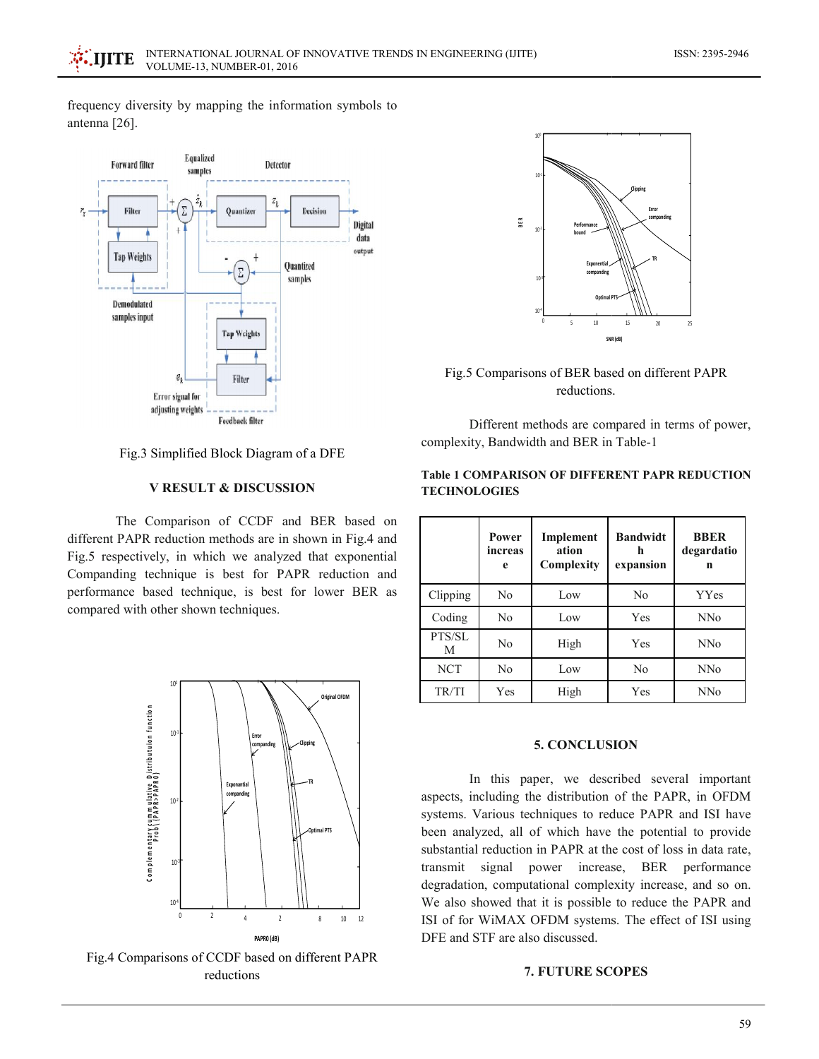frequency diversity by mapping the information symbols to antenna [26].



Fig.3 Simplified Block Diagram of a DFE

## **V RESULT & DISCUSSION**

The Comparison of CCDF and BER based on different PAPR reduction methods are in shown in Fig.4 and Fig.5 respectively, in which we analyzed that exponential Companding technique is best for PAPR reduction and performance based technique, is best for lower BER as compared with other shown techniques.



Fig.4 Comparisons of CCDF based on different PAPR reductions



Fig.5 Comparisons of BER based on different PAPR reductions.

Different methods are compared in terms of power, complexity, Bandwidth and BER in Table-1

|             | Power<br>increas<br>e | Implement<br>ation<br>Complexity | <b>Bandwidt</b><br>h<br>expansion | <b>BBER</b><br>degardatio<br>n |
|-------------|-----------------------|----------------------------------|-----------------------------------|--------------------------------|
| Clipping    | No                    | Low                              | N <sub>0</sub>                    | YYes                           |
| Coding      | No                    | Low                              | Yes                               | <b>NNo</b>                     |
| PTS/SL<br>M | N <sub>0</sub>        | High                             | Yes                               | <b>NNo</b>                     |
| <b>NCT</b>  | No                    | Low                              | No                                | <b>NNo</b>                     |
| TR/TI       | Yes                   | High                             | Yes                               | <b>NNo</b>                     |

## **Table 1 COMPARISON OF DIFFERENT PAPR REDUCTION TECHNOLOGIES**

## **5. CONCLUSION**

In this paper, we described several important aspects, including the distribution of the PAPR, in OFDM systems. Various techniques to reduce PAPR and ISI have been analyzed, all of which have the potential to provide substantial reduction in PAPR at the cost of loss in data rate. transmit signal power increase, BER performance degradation, computational complexity increase, and so on. We also showed that it is possible to reduce the PAPR and ISI of for WiMAX OFDM systems. The effect of ISI using DFE and STF are also discussed.

## **7. FUTURE SCOPES**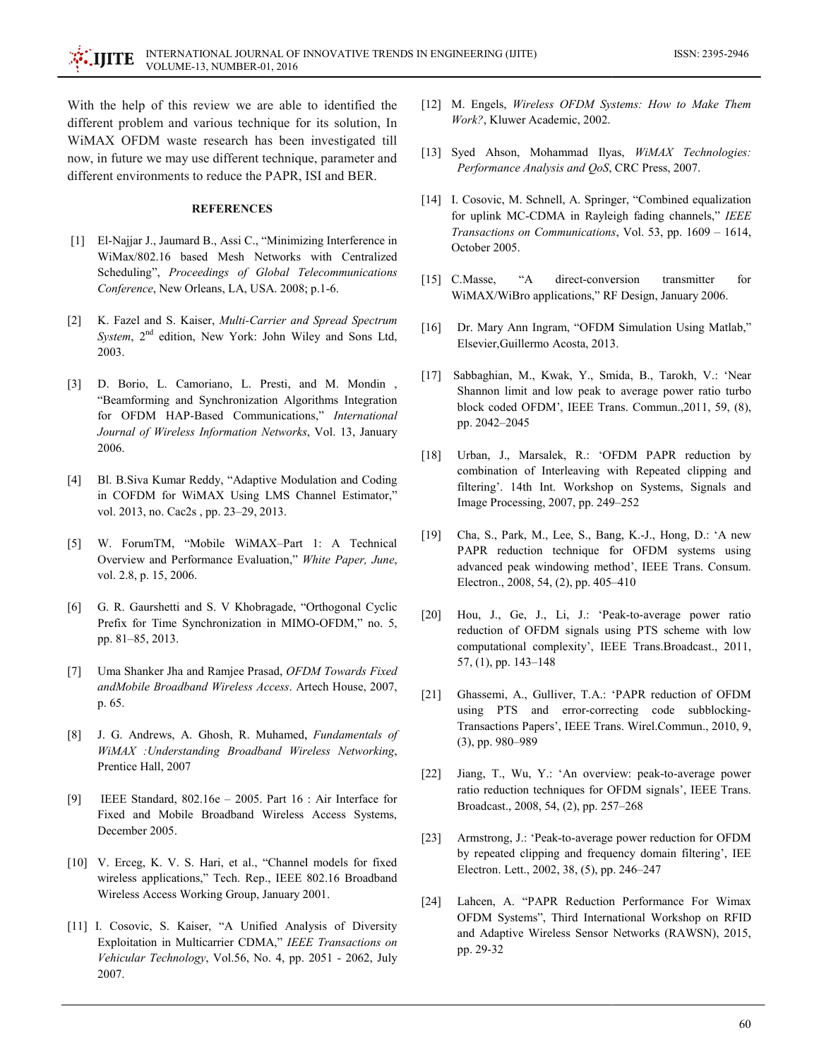With the help of this review we are able to identified the different problem and various technique for its solution. In WiMAX OFDM waste research has been investigated till now, in future we may use different technique, parameter and different environments to reduce the PAPR, ISI and BER.

## **REFERENCES**

- [1] El-Najjar J., Jaumard B., Assi C., "Minimizing Interference in WiMax/802.16 based Mesh Networks with Centralized Scheduling", Proceedings of Global Telecommunications Conference, New Orleans, LA, USA. 2008; p.1-6.
- $\lceil 2 \rceil$ K. Fazel and S. Kaiser, Multi-Carrier and Spread Spectrum System, 2<sup>nd</sup> edition, New York: John Wiley and Sons Ltd, 2003.
- [3] D. Borio, L. Camoriano, L. Presti, and M. Mondin, "Beamforming and Synchronization Algorithms Integration for OFDM HAP-Based Communications," International Journal of Wireless Information Networks, Vol. 13, January 2006.
- Bl. B.Siva Kumar Reddy, "Adaptive Modulation and Coding  $\lceil 4 \rceil$ in COFDM for WiMAX Using LMS Channel Estimator," vol. 2013, no. Cac2s, pp. 23–29, 2013.
- [5] W. ForumTM, "Mobile WiMAX-Part 1: A Technical Overview and Performance Evaluation," White Paper, June, vol. 2.8, p. 15, 2006.
- $\lceil 6 \rceil$ G. R. Gaurshetti and S. V Khobragade, "Orthogonal Cyclic Prefix for Time Synchronization in MIMO-OFDM," no. 5, pp. 81-85, 2013.
- [7] Uma Shanker Jha and Ramiee Prasad, OFDM Towards Fixed andMobile Broadband Wireless Access. Artech House, 2007, p. 65.
- J. G. Andrews, A. Ghosh, R. Muhamed, Fundamentals of [8] WiMAX : Understanding Broadband Wireless Networking, Prentice Hall, 2007
- $[9]$ IEEE Standard,  $802.16e - 2005$ . Part 16 : Air Interface for Fixed and Mobile Broadband Wireless Access Systems, December 2005.
- [10] V. Erceg, K. V. S. Hari, et al., "Channel models for fixed wireless applications," Tech. Rep., IEEE 802.16 Broadband Wireless Access Working Group, January 2001.
- [11] I. Cosovic, S. Kaiser, "A Unified Analysis of Diversity Exploitation in Multicarrier CDMA," IEEE Transactions on Vehicular Technology, Vol.56, No. 4, pp. 2051 - 2062, July 2007.
- [12] M. Engels, Wireless OFDM Systems: How to Make Them Work?, Kluwer Academic, 2002.
- [13] Syed Ahson, Mohammad Ilyas, WiMAX Technologies: Performance Analysis and QoS, CRC Press, 2007.
- [14] I. Cosovic, M. Schnell, A. Springer, "Combined equalization for uplink MC-CDMA in Rayleigh fading channels," IEEE Transactions on Communications, Vol. 53, pp. 1609 - 1614, October 2005.
- [15]  $C.Masse$ ,  $\lq\lq A$ direct-conversion transmitter for WiMAX/WiBro applications," RF Design, January 2006.
- $\lceil 16 \rceil$ Dr. Mary Ann Ingram, "OFDM Simulation Using Matlab," Elsevier, Guillermo Acosta, 2013.
- [17] Sabbaghian, M., Kwak, Y., Smida, B., Tarokh, V.: 'Near Shannon limit and low peak to average power ratio turbo block coded OFDM', IEEE Trans. Commun., 2011, 59, (8), pp. 2042-2045
- $\lceil 18 \rceil$ Urban, J., Marsalek, R.: 'OFDM PAPR reduction by combination of Interleaving with Repeated clipping and filtering'. 14th Int. Workshop on Systems, Signals and Image Processing, 2007, pp. 249-252
- $[19]$ Cha, S., Park, M., Lee, S., Bang, K.-J., Hong, D.: 'A new PAPR reduction technique for OFDM systems using advanced peak windowing method', IEEE Trans. Consum. Electron., 2008, 54, (2), pp. 405–410
- Hou, J., Ge, J., Li, J.: 'Peak-to-average power ratio  $\lceil 20 \rceil$ reduction of OFDM signals using PTS scheme with low computational complexity', IEEE Trans.Broadcast., 2011, 57, (1), pp. 143-148
- Ghassemi, A., Gulliver, T.A.: 'PAPR reduction of OFDM  $\lceil 21 \rceil$ using PTS and error-correcting code subblocking-Transactions Papers', IEEE Trans. Wirel.Commun., 2010, 9,  $(3)$ , pp. 980-989
- Jiang, T., Wu, Y.: 'An overview: peak-to-average power  $[22]$ ratio reduction techniques for OFDM signals', IEEE Trans. Broadcast., 2008, 54, (2), pp. 257-268
- Armstrong, J.: 'Peak-to-average power reduction for OFDM  $\lceil 23 \rceil$ by repeated clipping and frequency domain filtering', IEE Electron. Lett., 2002, 38, (5), pp. 246-247
- $\lceil 24 \rceil$ Lahcen, A. "PAPR Reduction Performance For Wimax OFDM Systems", Third International Workshop on RFID and Adaptive Wireless Sensor Networks (RAWSN), 2015, pp. 29-32